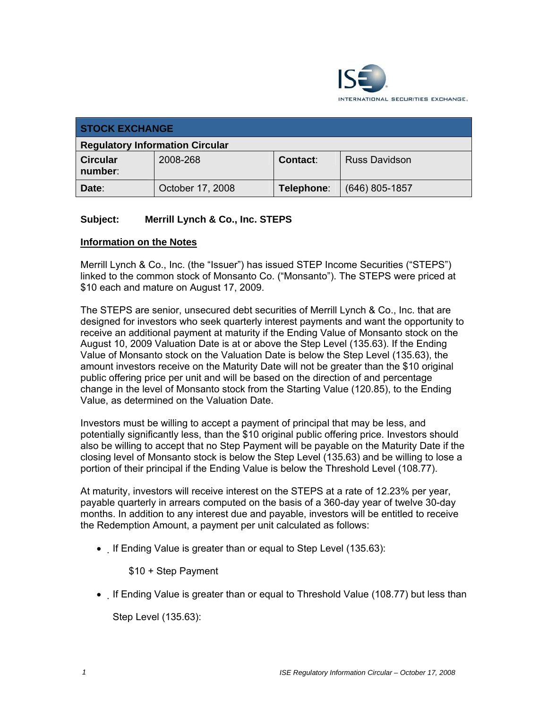

| <b>STOCK EXCHANGE</b>                  |                  |            |                      |  |
|----------------------------------------|------------------|------------|----------------------|--|
| <b>Regulatory Information Circular</b> |                  |            |                      |  |
| <b>Circular</b><br>number:             | 2008-268         | Contact:   | <b>Russ Davidson</b> |  |
| Date:                                  | October 17, 2008 | Telephone: | $(646)$ 805-1857     |  |

## **Subject: Merrill Lynch & Co., Inc. STEPS**

## **Information on the Notes**

Merrill Lynch & Co., Inc. (the "Issuer") has issued STEP Income Securities ("STEPS") linked to the common stock of Monsanto Co. ("Monsanto"). The STEPS were priced at \$10 each and mature on August 17, 2009.

The STEPS are senior, unsecured debt securities of Merrill Lynch & Co., Inc. that are designed for investors who seek quarterly interest payments and want the opportunity to receive an additional payment at maturity if the Ending Value of Monsanto stock on the August 10, 2009 Valuation Date is at or above the Step Level (135.63). If the Ending Value of Monsanto stock on the Valuation Date is below the Step Level (135.63), the amount investors receive on the Maturity Date will not be greater than the \$10 original public offering price per unit and will be based on the direction of and percentage change in the level of Monsanto stock from the Starting Value (120.85), to the Ending Value, as determined on the Valuation Date.

Investors must be willing to accept a payment of principal that may be less, and potentially significantly less, than the \$10 original public offering price. Investors should also be willing to accept that no Step Payment will be payable on the Maturity Date if the closing level of Monsanto stock is below the Step Level (135.63) and be willing to lose a portion of their principal if the Ending Value is below the Threshold Level (108.77).

At maturity, investors will receive interest on the STEPS at a rate of 12.23% per year, payable quarterly in arrears computed on the basis of a 360-day year of twelve 30-day months. In addition to any interest due and payable, investors will be entitled to receive the Redemption Amount, a payment per unit calculated as follows:

• If Ending Value is greater than or equal to Step Level (135.63):

\$10 + Step Payment

• If Ending Value is greater than or equal to Threshold Value (108.77) but less than

Step Level (135.63):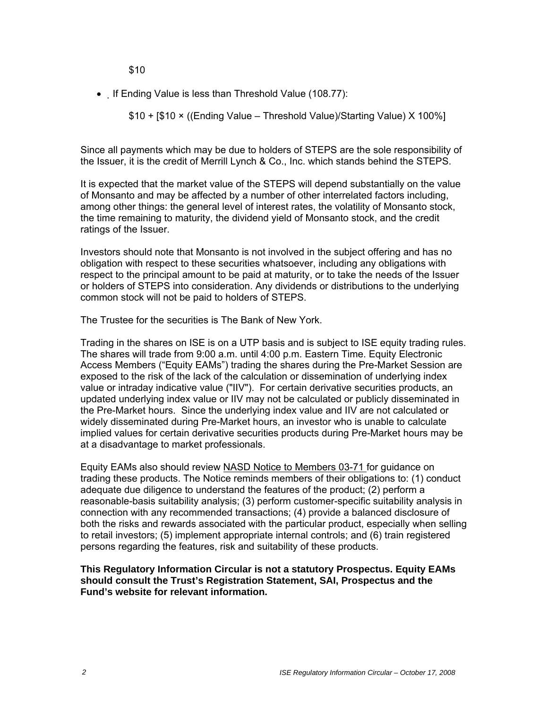\$10

• If Ending Value is less than Threshold Value (108.77):

\$10 + [\$10 × ((Ending Value – Threshold Value)/Starting Value) X 100%]

Since all payments which may be due to holders of STEPS are the sole responsibility of the Issuer, it is the credit of Merrill Lynch & Co., Inc. which stands behind the STEPS.

It is expected that the market value of the STEPS will depend substantially on the value of Monsanto and may be affected by a number of other interrelated factors including, among other things: the general level of interest rates, the volatility of Monsanto stock, the time remaining to maturity, the dividend yield of Monsanto stock, and the credit ratings of the Issuer.

Investors should note that Monsanto is not involved in the subject offering and has no obligation with respect to these securities whatsoever, including any obligations with respect to the principal amount to be paid at maturity, or to take the needs of the Issuer or holders of STEPS into consideration. Any dividends or distributions to the underlying common stock will not be paid to holders of STEPS.

The Trustee for the securities is The Bank of New York.

Trading in the shares on ISE is on a UTP basis and is subject to ISE equity trading rules. The shares will trade from 9:00 a.m. until 4:00 p.m. Eastern Time. Equity Electronic Access Members ("Equity EAMs") trading the shares during the Pre-Market Session are exposed to the risk of the lack of the calculation or dissemination of underlying index value or intraday indicative value ("IIV"). For certain derivative securities products, an updated underlying index value or IIV may not be calculated or publicly disseminated in the Pre-Market hours. Since the underlying index value and IIV are not calculated or widely disseminated during Pre-Market hours, an investor who is unable to calculate implied values for certain derivative securities products during Pre-Market hours may be at a disadvantage to market professionals.

Equity EAMs also should review NASD Notice to Members 03-71 for guidance on trading these products. The Notice reminds members of their obligations to: (1) conduct adequate due diligence to understand the features of the product; (2) perform a reasonable-basis suitability analysis; (3) perform customer-specific suitability analysis in connection with any recommended transactions; (4) provide a balanced disclosure of both the risks and rewards associated with the particular product, especially when selling to retail investors; (5) implement appropriate internal controls; and (6) train registered persons regarding the features, risk and suitability of these products.

**This Regulatory Information Circular is not a statutory Prospectus. Equity EAMs should consult the Trust's Registration Statement, SAI, Prospectus and the Fund's website for relevant information.**